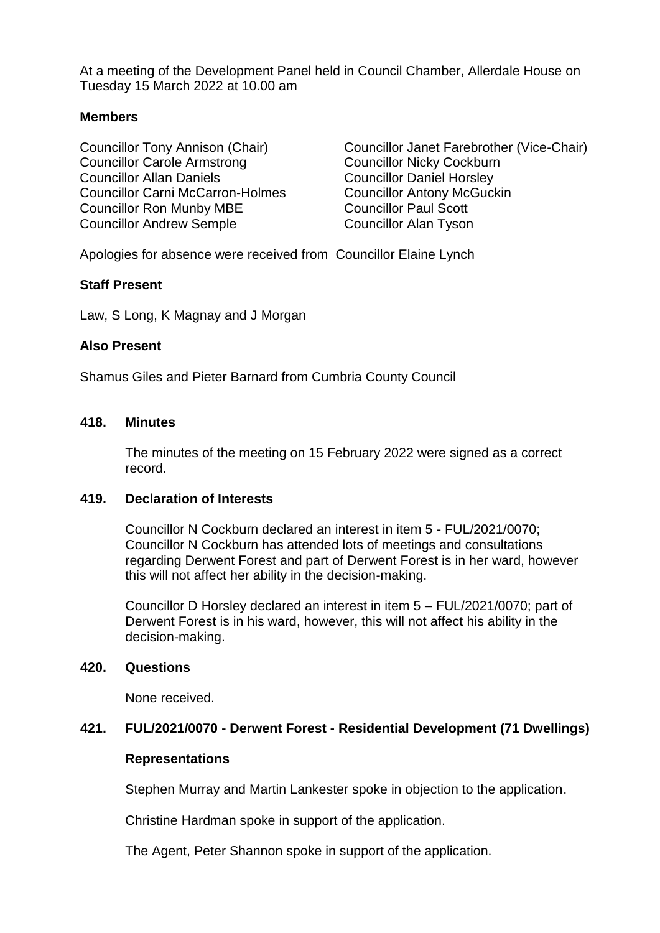At a meeting of the Development Panel held in Council Chamber, Allerdale House on Tuesday 15 March 2022 at 10.00 am

## **Members**

Councillor Carole Armstrong Councillor Nicky Cockburn Councillor Allan Daniels Councillor Daniel Horsley Councillor Carni McCarron-Holmes Councillor Antony McGuckin Councillor Ron Munby MBE Councillor Paul Scott Councillor Andrew Semple Councillor Alan Tyson

Councillor Tony Annison (Chair) Councillor Janet Farebrother (Vice-Chair)

Apologies for absence were received from Councillor Elaine Lynch

# **Staff Present**

Law, S Long, K Magnay and J Morgan

## **Also Present**

Shamus Giles and Pieter Barnard from Cumbria County Council

#### **418. Minutes**

The minutes of the meeting on 15 February 2022 were signed as a correct record.

#### **419. Declaration of Interests**

Councillor N Cockburn declared an interest in item 5 - FUL/2021/0070; Councillor N Cockburn has attended lots of meetings and consultations regarding Derwent Forest and part of Derwent Forest is in her ward, however this will not affect her ability in the decision-making.

Councillor D Horsley declared an interest in item 5 – FUL/2021/0070; part of Derwent Forest is in his ward, however, this will not affect his ability in the decision-making.

#### **420. Questions**

None received.

## **421. FUL/2021/0070 - Derwent Forest - Residential Development (71 Dwellings)**

#### **Representations**

Stephen Murray and Martin Lankester spoke in objection to the application.

Christine Hardman spoke in support of the application.

The Agent, Peter Shannon spoke in support of the application.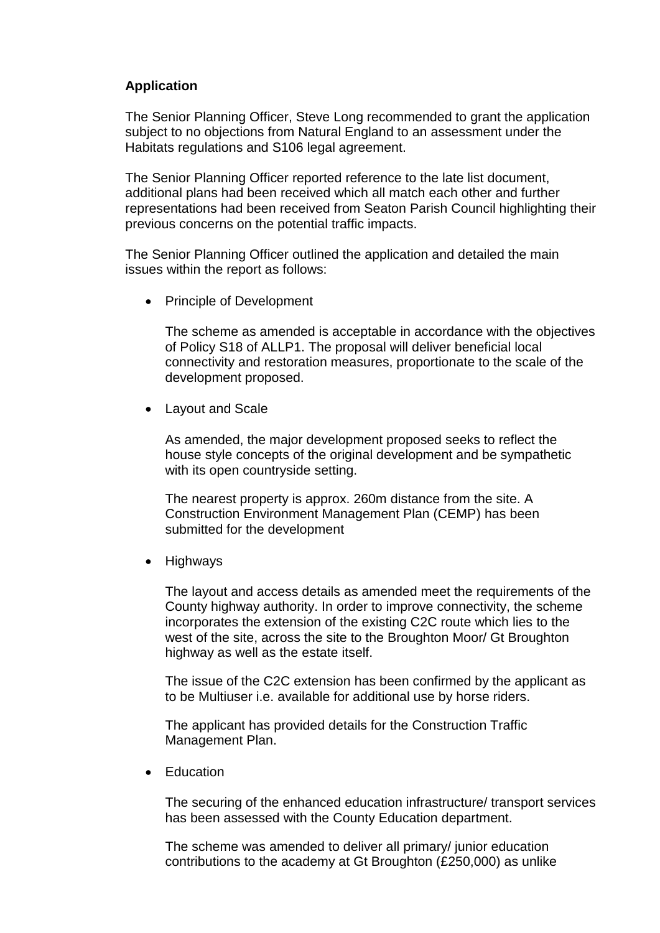# **Application**

The Senior Planning Officer, Steve Long recommended to grant the application subject to no objections from Natural England to an assessment under the Habitats regulations and S106 legal agreement.

The Senior Planning Officer reported reference to the late list document, additional plans had been received which all match each other and further representations had been received from Seaton Parish Council highlighting their previous concerns on the potential traffic impacts.

The Senior Planning Officer outlined the application and detailed the main issues within the report as follows:

• Principle of Development

The scheme as amended is acceptable in accordance with the objectives of Policy S18 of ALLP1. The proposal will deliver beneficial local connectivity and restoration measures, proportionate to the scale of the development proposed.

• Layout and Scale

As amended, the major development proposed seeks to reflect the house style concepts of the original development and be sympathetic with its open countryside setting.

The nearest property is approx. 260m distance from the site. A Construction Environment Management Plan (CEMP) has been submitted for the development

• Highways

The layout and access details as amended meet the requirements of the County highway authority. In order to improve connectivity, the scheme incorporates the extension of the existing C2C route which lies to the west of the site, across the site to the Broughton Moor/ Gt Broughton highway as well as the estate itself.

The issue of the C2C extension has been confirmed by the applicant as to be Multiuser i.e. available for additional use by horse riders.

The applicant has provided details for the Construction Traffic Management Plan.

• Education

The securing of the enhanced education infrastructure/ transport services has been assessed with the County Education department.

The scheme was amended to deliver all primary/ junior education contributions to the academy at Gt Broughton (£250,000) as unlike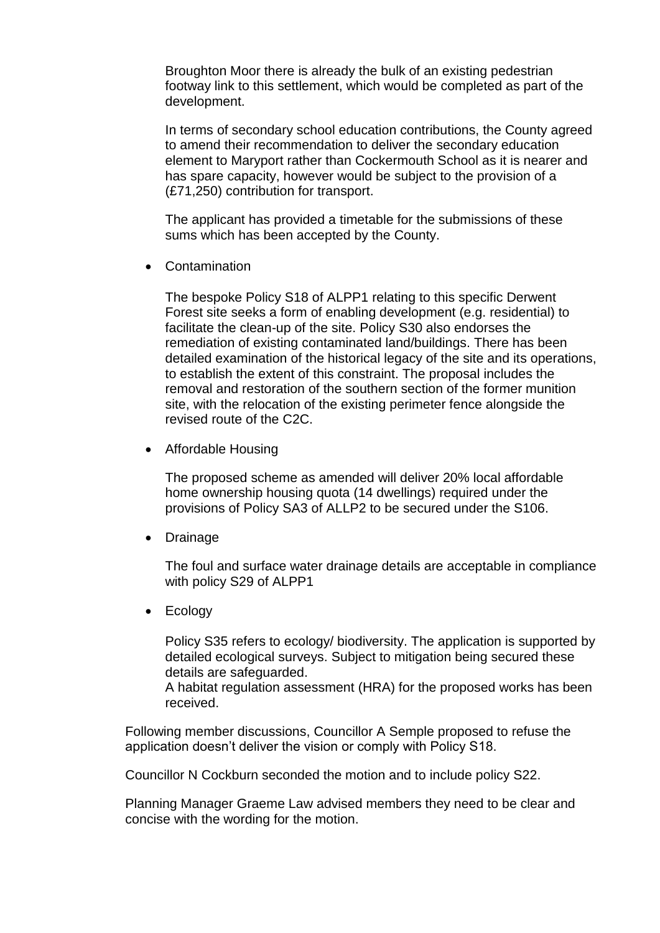Broughton Moor there is already the bulk of an existing pedestrian footway link to this settlement, which would be completed as part of the development.

In terms of secondary school education contributions, the County agreed to amend their recommendation to deliver the secondary education element to Maryport rather than Cockermouth School as it is nearer and has spare capacity, however would be subject to the provision of a (£71,250) contribution for transport.

The applicant has provided a timetable for the submissions of these sums which has been accepted by the County.

Contamination

The bespoke Policy S18 of ALPP1 relating to this specific Derwent Forest site seeks a form of enabling development (e.g. residential) to facilitate the clean-up of the site. Policy S30 also endorses the remediation of existing contaminated land/buildings. There has been detailed examination of the historical legacy of the site and its operations, to establish the extent of this constraint. The proposal includes the removal and restoration of the southern section of the former munition site, with the relocation of the existing perimeter fence alongside the revised route of the C2C.

• Affordable Housing

The proposed scheme as amended will deliver 20% local affordable home ownership housing quota (14 dwellings) required under the provisions of Policy SA3 of ALLP2 to be secured under the S106.

• Drainage

The foul and surface water drainage details are acceptable in compliance with policy S29 of ALPP1

• Ecology

Policy S35 refers to ecology/ biodiversity. The application is supported by detailed ecological surveys. Subject to mitigation being secured these details are safeguarded.

A habitat regulation assessment (HRA) for the proposed works has been received.

Following member discussions, Councillor A Semple proposed to refuse the application doesn't deliver the vision or comply with Policy S18.

Councillor N Cockburn seconded the motion and to include policy S22.

Planning Manager Graeme Law advised members they need to be clear and concise with the wording for the motion.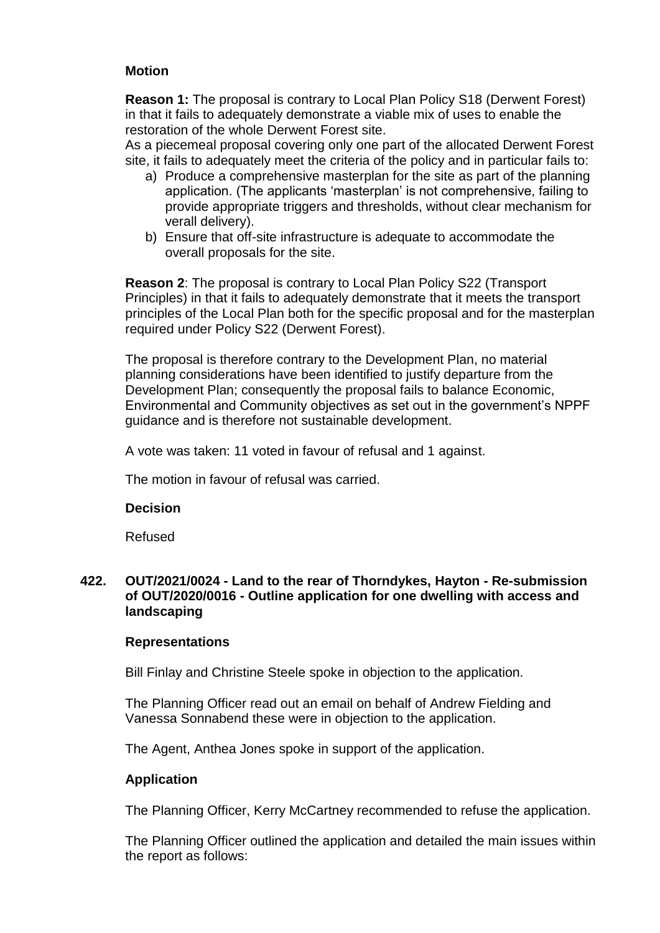# **Motion**

**Reason 1:** The proposal is contrary to Local Plan Policy S18 (Derwent Forest) in that it fails to adequately demonstrate a viable mix of uses to enable the restoration of the whole Derwent Forest site.

As a piecemeal proposal covering only one part of the allocated Derwent Forest site, it fails to adequately meet the criteria of the policy and in particular fails to:

- a) Produce a comprehensive masterplan for the site as part of the planning application. (The applicants 'masterplan' is not comprehensive, failing to provide appropriate triggers and thresholds, without clear mechanism for verall delivery).
- b) Ensure that off-site infrastructure is adequate to accommodate the overall proposals for the site.

**Reason 2**: The proposal is contrary to Local Plan Policy S22 (Transport Principles) in that it fails to adequately demonstrate that it meets the transport principles of the Local Plan both for the specific proposal and for the masterplan required under Policy S22 (Derwent Forest).

The proposal is therefore contrary to the Development Plan, no material planning considerations have been identified to justify departure from the Development Plan; consequently the proposal fails to balance Economic, Environmental and Community objectives as set out in the government's NPPF guidance and is therefore not sustainable development.

A vote was taken: 11 voted in favour of refusal and 1 against.

The motion in favour of refusal was carried.

## **Decision**

Refused

## **422. OUT/2021/0024 - Land to the rear of Thorndykes, Hayton - Re-submission of OUT/2020/0016 - Outline application for one dwelling with access and landscaping**

#### **Representations**

Bill Finlay and Christine Steele spoke in objection to the application.

The Planning Officer read out an email on behalf of Andrew Fielding and Vanessa Sonnabend these were in objection to the application.

The Agent, Anthea Jones spoke in support of the application.

## **Application**

The Planning Officer, Kerry McCartney recommended to refuse the application.

The Planning Officer outlined the application and detailed the main issues within the report as follows: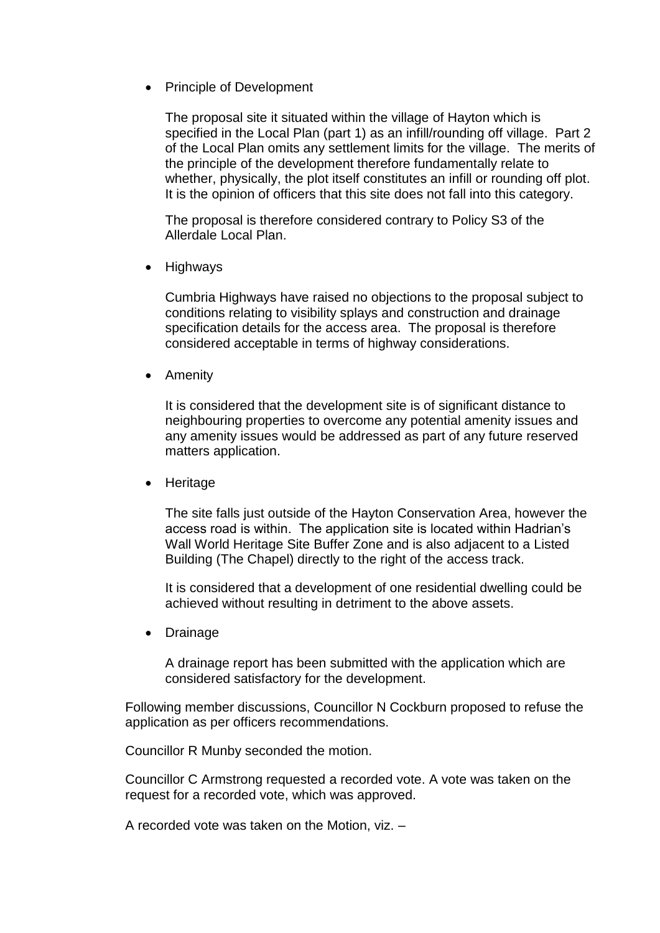• Principle of Development

The proposal site it situated within the village of Hayton which is specified in the Local Plan (part 1) as an infill/rounding off village. Part 2 of the Local Plan omits any settlement limits for the village. The merits of the principle of the development therefore fundamentally relate to whether, physically, the plot itself constitutes an infill or rounding off plot. It is the opinion of officers that this site does not fall into this category.

The proposal is therefore considered contrary to Policy S3 of the Allerdale Local Plan.

• Highways

Cumbria Highways have raised no objections to the proposal subject to conditions relating to visibility splays and construction and drainage specification details for the access area. The proposal is therefore considered acceptable in terms of highway considerations.

• Amenity

It is considered that the development site is of significant distance to neighbouring properties to overcome any potential amenity issues and any amenity issues would be addressed as part of any future reserved matters application.

• Heritage

The site falls just outside of the Hayton Conservation Area, however the access road is within. The application site is located within Hadrian's Wall World Heritage Site Buffer Zone and is also adjacent to a Listed Building (The Chapel) directly to the right of the access track.

It is considered that a development of one residential dwelling could be achieved without resulting in detriment to the above assets.

• Drainage

A drainage report has been submitted with the application which are considered satisfactory for the development.

Following member discussions, Councillor N Cockburn proposed to refuse the application as per officers recommendations.

Councillor R Munby seconded the motion.

Councillor C Armstrong requested a recorded vote. A vote was taken on the request for a recorded vote, which was approved.

A recorded vote was taken on the Motion, viz. –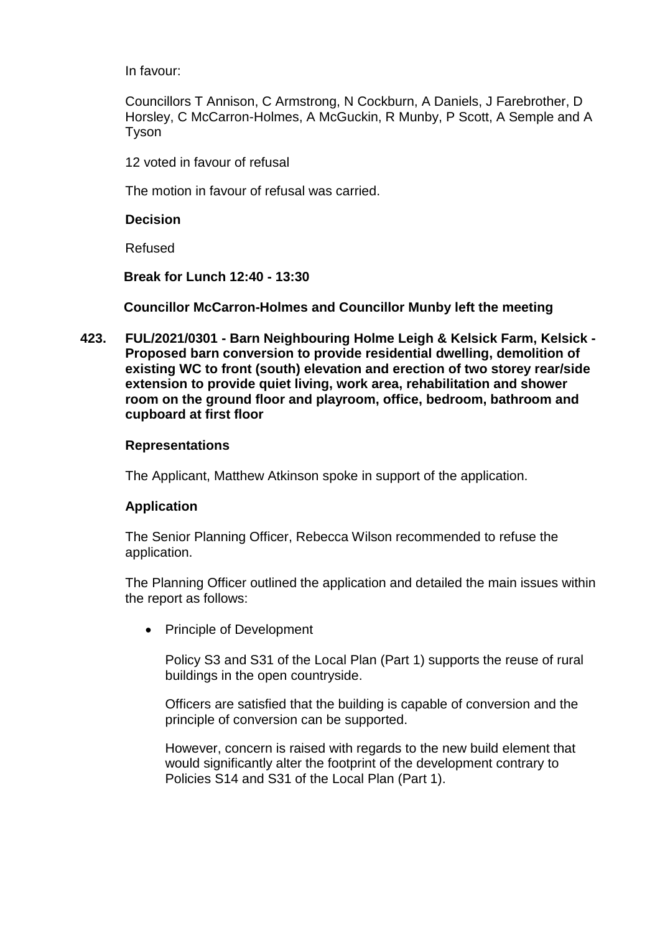In favour:

Councillors T Annison, C Armstrong, N Cockburn, A Daniels, J Farebrother, D Horsley, C McCarron-Holmes, A McGuckin, R Munby, P Scott, A Semple and A Tyson

12 voted in favour of refusal

The motion in favour of refusal was carried.

**Decision**

Refused

**Break for Lunch 12:40 - 13:30** 

**Councillor McCarron-Holmes and Councillor Munby left the meeting** 

**423. FUL/2021/0301 - Barn Neighbouring Holme Leigh & Kelsick Farm, Kelsick - Proposed barn conversion to provide residential dwelling, demolition of existing WC to front (south) elevation and erection of two storey rear/side extension to provide quiet living, work area, rehabilitation and shower room on the ground floor and playroom, office, bedroom, bathroom and cupboard at first floor**

# **Representations**

The Applicant, Matthew Atkinson spoke in support of the application.

# **Application**

The Senior Planning Officer, Rebecca Wilson recommended to refuse the application.

The Planning Officer outlined the application and detailed the main issues within the report as follows:

• Principle of Development

Policy S3 and S31 of the Local Plan (Part 1) supports the reuse of rural buildings in the open countryside.

Officers are satisfied that the building is capable of conversion and the principle of conversion can be supported.

However, concern is raised with regards to the new build element that would significantly alter the footprint of the development contrary to Policies S14 and S31 of the Local Plan (Part 1).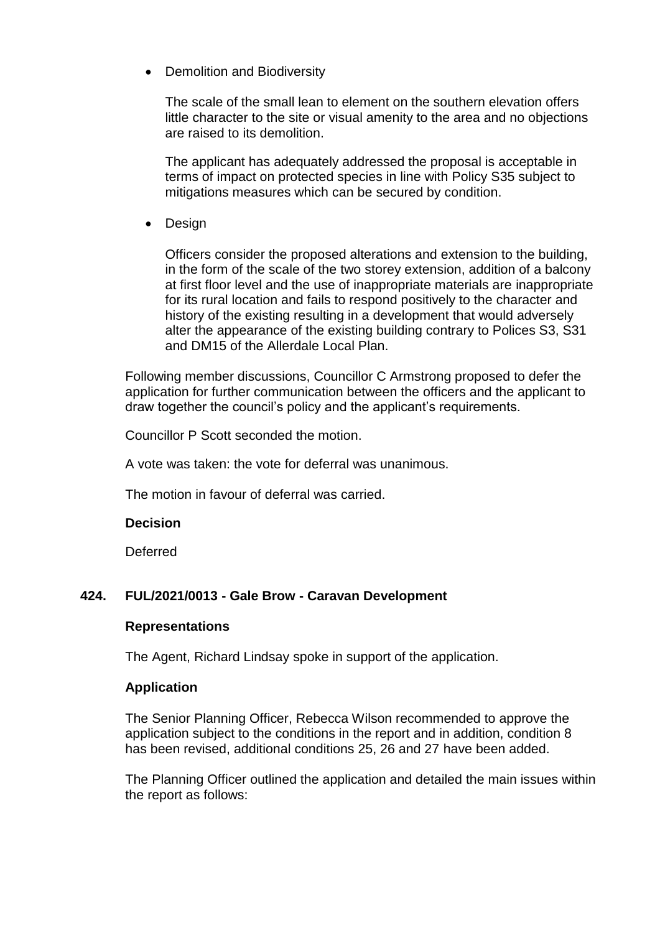• Demolition and Biodiversity

The scale of the small lean to element on the southern elevation offers little character to the site or visual amenity to the area and no objections are raised to its demolition.

The applicant has adequately addressed the proposal is acceptable in terms of impact on protected species in line with Policy S35 subject to mitigations measures which can be secured by condition.

• Design

Officers consider the proposed alterations and extension to the building, in the form of the scale of the two storey extension, addition of a balcony at first floor level and the use of inappropriate materials are inappropriate for its rural location and fails to respond positively to the character and history of the existing resulting in a development that would adversely alter the appearance of the existing building contrary to Polices S3, S31 and DM15 of the Allerdale Local Plan.

Following member discussions, Councillor C Armstrong proposed to defer the application for further communication between the officers and the applicant to draw together the council's policy and the applicant's requirements.

Councillor P Scott seconded the motion.

A vote was taken: the vote for deferral was unanimous.

The motion in favour of deferral was carried.

#### **Decision**

Deferred

## **424. FUL/2021/0013 - Gale Brow - Caravan Development**

## **Representations**

The Agent, Richard Lindsay spoke in support of the application.

## **Application**

The Senior Planning Officer, Rebecca Wilson recommended to approve the application subject to the conditions in the report and in addition, condition 8 has been revised, additional conditions 25, 26 and 27 have been added.

The Planning Officer outlined the application and detailed the main issues within the report as follows: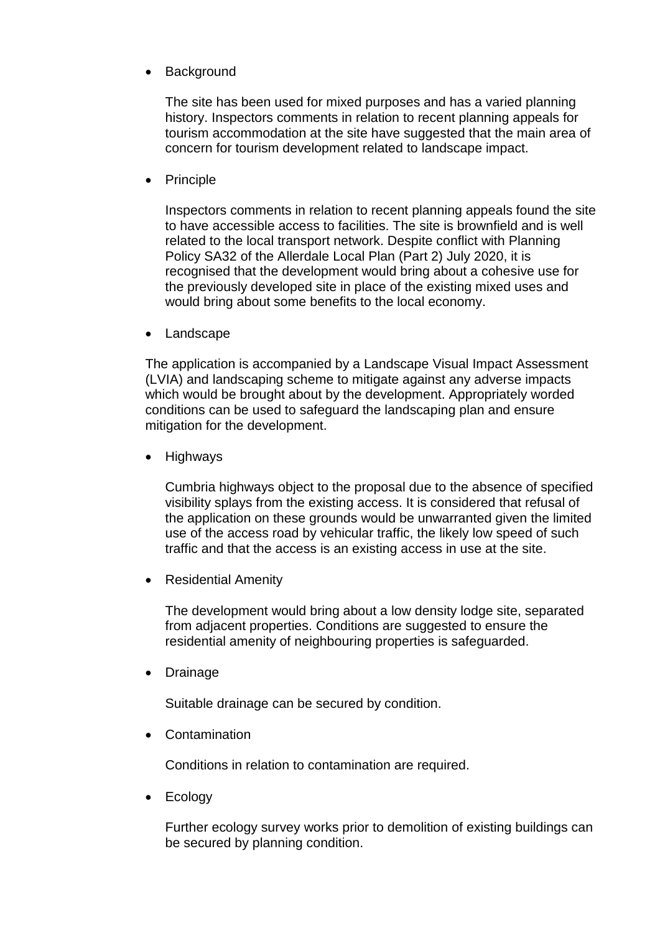Background

The site has been used for mixed purposes and has a varied planning history. Inspectors comments in relation to recent planning appeals for tourism accommodation at the site have suggested that the main area of concern for tourism development related to landscape impact.

• Principle

Inspectors comments in relation to recent planning appeals found the site to have accessible access to facilities. The site is brownfield and is well related to the local transport network. Despite conflict with Planning Policy SA32 of the Allerdale Local Plan (Part 2) July 2020, it is recognised that the development would bring about a cohesive use for the previously developed site in place of the existing mixed uses and would bring about some benefits to the local economy.

• Landscape

The application is accompanied by a Landscape Visual Impact Assessment (LVIA) and landscaping scheme to mitigate against any adverse impacts which would be brought about by the development. Appropriately worded conditions can be used to safeguard the landscaping plan and ensure mitigation for the development.

**Highways** 

Cumbria highways object to the proposal due to the absence of specified visibility splays from the existing access. It is considered that refusal of the application on these grounds would be unwarranted given the limited use of the access road by vehicular traffic, the likely low speed of such traffic and that the access is an existing access in use at the site.

• Residential Amenity

The development would bring about a low density lodge site, separated from adjacent properties. Conditions are suggested to ensure the residential amenity of neighbouring properties is safeguarded.

Drainage

Suitable drainage can be secured by condition.

**Contamination** 

Conditions in relation to contamination are required.

• Ecology

Further ecology survey works prior to demolition of existing buildings can be secured by planning condition.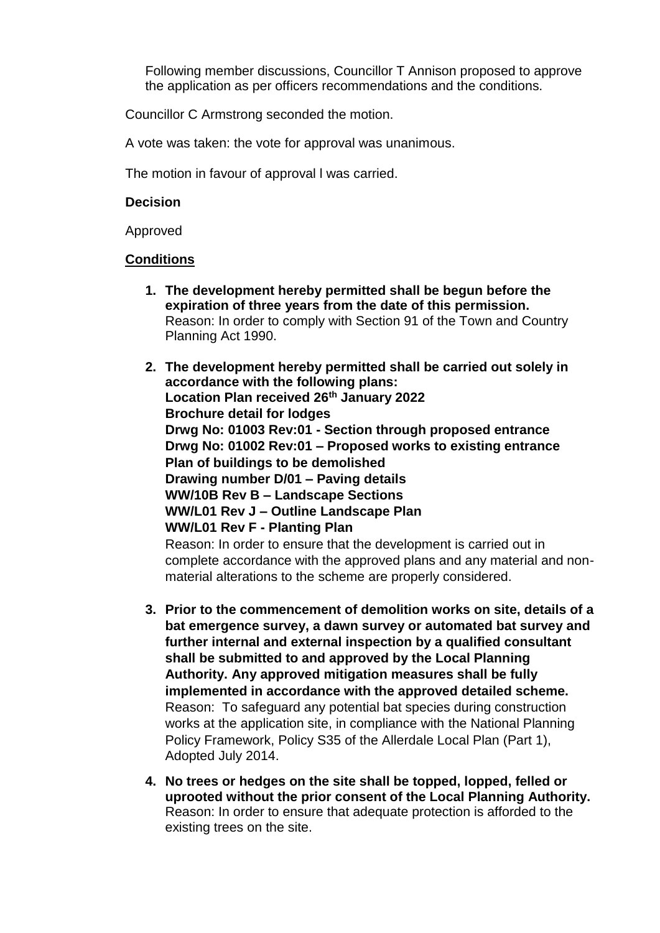Following member discussions, Councillor T Annison proposed to approve the application as per officers recommendations and the conditions.

Councillor C Armstrong seconded the motion.

A vote was taken: the vote for approval was unanimous.

The motion in favour of approval l was carried.

#### **Decision**

Approved

## **Conditions**

- **1. The development hereby permitted shall be begun before the expiration of three years from the date of this permission.** Reason: In order to comply with Section 91 of the Town and Country Planning Act 1990.
- **2. The development hereby permitted shall be carried out solely in accordance with the following plans: Location Plan received 26th January 2022 Brochure detail for lodges Drwg No: 01003 Rev:01 - Section through proposed entrance Drwg No: 01002 Rev:01 – Proposed works to existing entrance Plan of buildings to be demolished Drawing number D/01 – Paving details WW/10B Rev B – Landscape Sections WW/L01 Rev J – Outline Landscape Plan WW/L01 Rev F - Planting Plan** Reason: In order to ensure that the development is carried out in

complete accordance with the approved plans and any material and nonmaterial alterations to the scheme are properly considered.

- **3. Prior to the commencement of demolition works on site, details of a bat emergence survey, a dawn survey or automated bat survey and further internal and external inspection by a qualified consultant shall be submitted to and approved by the Local Planning Authority. Any approved mitigation measures shall be fully implemented in accordance with the approved detailed scheme.** Reason: To safeguard any potential bat species during construction works at the application site, in compliance with the National Planning Policy Framework, Policy S35 of the Allerdale Local Plan (Part 1), Adopted July 2014.
- **4. No trees or hedges on the site shall be topped, lopped, felled or uprooted without the prior consent of the Local Planning Authority.**  Reason: In order to ensure that adequate protection is afforded to the existing trees on the site.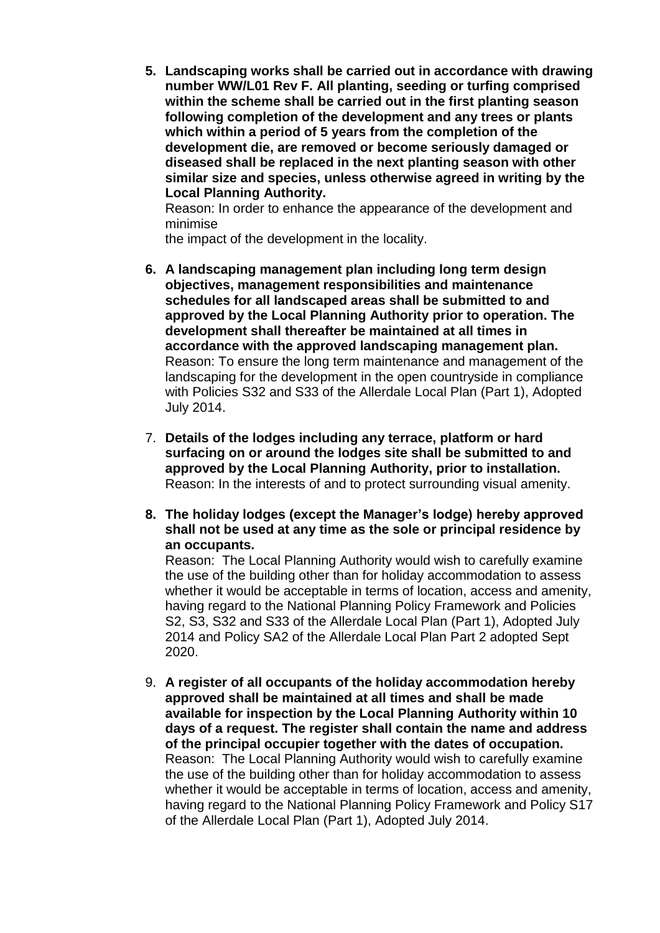**5. Landscaping works shall be carried out in accordance with drawing number WW/L01 Rev F. All planting, seeding or turfing comprised within the scheme shall be carried out in the first planting season following completion of the development and any trees or plants which within a period of 5 years from the completion of the development die, are removed or become seriously damaged or diseased shall be replaced in the next planting season with other similar size and species, unless otherwise agreed in writing by the Local Planning Authority.**

Reason: In order to enhance the appearance of the development and minimise

the impact of the development in the locality.

- **6. A landscaping management plan including long term design objectives, management responsibilities and maintenance schedules for all landscaped areas shall be submitted to and approved by the Local Planning Authority prior to operation. The development shall thereafter be maintained at all times in accordance with the approved landscaping management plan.**  Reason: To ensure the long term maintenance and management of the landscaping for the development in the open countryside in compliance with Policies S32 and S33 of the Allerdale Local Plan (Part 1), Adopted July 2014.
- 7. **Details of the lodges including any terrace, platform or hard surfacing on or around the lodges site shall be submitted to and approved by the Local Planning Authority, prior to installation.** Reason: In the interests of and to protect surrounding visual amenity.
- **8. The holiday lodges (except the Manager's lodge) hereby approved shall not be used at any time as the sole or principal residence by an occupants.**

Reason: The Local Planning Authority would wish to carefully examine the use of the building other than for holiday accommodation to assess whether it would be acceptable in terms of location, access and amenity, having regard to the National Planning Policy Framework and Policies S2, S3, S32 and S33 of the Allerdale Local Plan (Part 1), Adopted July 2014 and Policy SA2 of the Allerdale Local Plan Part 2 adopted Sept 2020.

9. **A register of all occupants of the holiday accommodation hereby approved shall be maintained at all times and shall be made available for inspection by the Local Planning Authority within 10 days of a request. The register shall contain the name and address of the principal occupier together with the dates of occupation.**  Reason: The Local Planning Authority would wish to carefully examine the use of the building other than for holiday accommodation to assess whether it would be acceptable in terms of location, access and amenity, having regard to the National Planning Policy Framework and Policy S17 of the Allerdale Local Plan (Part 1), Adopted July 2014.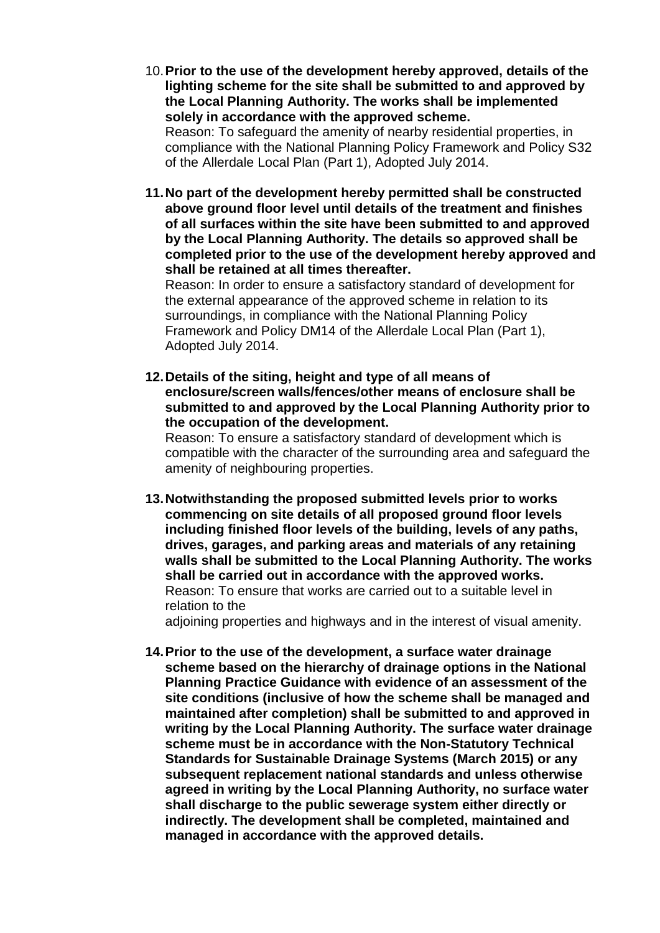10.**Prior to the use of the development hereby approved, details of the lighting scheme for the site shall be submitted to and approved by the Local Planning Authority. The works shall be implemented solely in accordance with the approved scheme.** Reason: To safeguard the amenity of nearby residential properties, in

compliance with the National Planning Policy Framework and Policy S32 of the Allerdale Local Plan (Part 1), Adopted July 2014.

**11.No part of the development hereby permitted shall be constructed above ground floor level until details of the treatment and finishes of all surfaces within the site have been submitted to and approved by the Local Planning Authority. The details so approved shall be completed prior to the use of the development hereby approved and shall be retained at all times thereafter.**

Reason: In order to ensure a satisfactory standard of development for the external appearance of the approved scheme in relation to its surroundings, in compliance with the National Planning Policy Framework and Policy DM14 of the Allerdale Local Plan (Part 1), Adopted July 2014.

**12.Details of the siting, height and type of all means of enclosure/screen walls/fences/other means of enclosure shall be submitted to and approved by the Local Planning Authority prior to the occupation of the development.** 

Reason: To ensure a satisfactory standard of development which is compatible with the character of the surrounding area and safeguard the amenity of neighbouring properties.

**13.Notwithstanding the proposed submitted levels prior to works commencing on site details of all proposed ground floor levels including finished floor levels of the building, levels of any paths, drives, garages, and parking areas and materials of any retaining walls shall be submitted to the Local Planning Authority. The works shall be carried out in accordance with the approved works.** Reason: To ensure that works are carried out to a suitable level in relation to the

adjoining properties and highways and in the interest of visual amenity.

**14.Prior to the use of the development, a surface water drainage scheme based on the hierarchy of drainage options in the National Planning Practice Guidance with evidence of an assessment of the site conditions (inclusive of how the scheme shall be managed and maintained after completion) shall be submitted to and approved in writing by the Local Planning Authority. The surface water drainage scheme must be in accordance with the Non-Statutory Technical Standards for Sustainable Drainage Systems (March 2015) or any subsequent replacement national standards and unless otherwise agreed in writing by the Local Planning Authority, no surface water shall discharge to the public sewerage system either directly or indirectly. The development shall be completed, maintained and managed in accordance with the approved details.**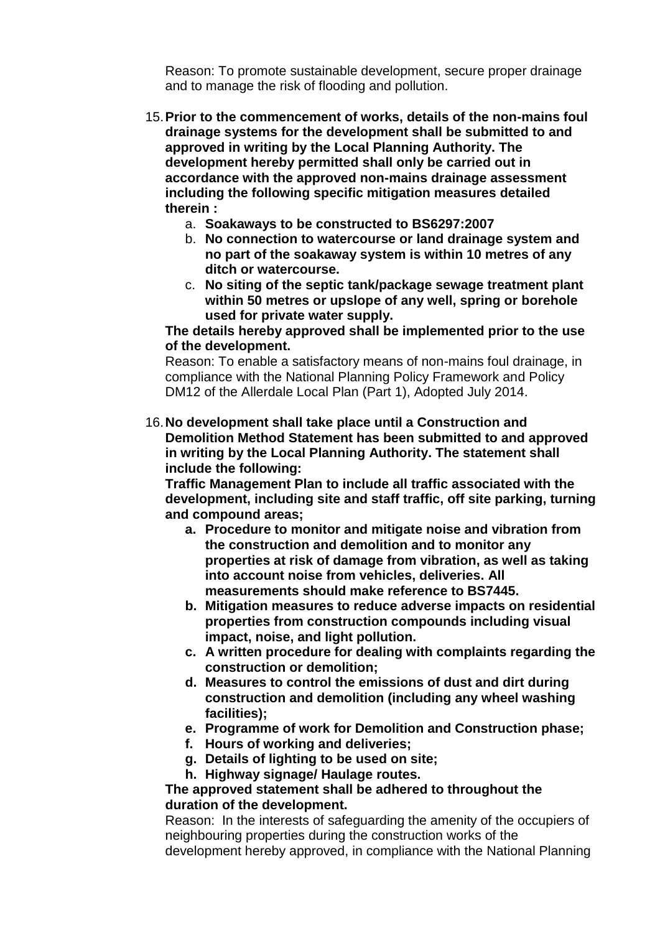Reason: To promote sustainable development, secure proper drainage and to manage the risk of flooding and pollution.

- 15.**Prior to the commencement of works, details of the non-mains foul drainage systems for the development shall be submitted to and approved in writing by the Local Planning Authority. The development hereby permitted shall only be carried out in accordance with the approved non-mains drainage assessment including the following specific mitigation measures detailed therein :** 
	- a. **Soakaways to be constructed to BS6297:2007**
	- b. **No connection to watercourse or land drainage system and no part of the soakaway system is within 10 metres of any ditch or watercourse.**
	- c. **No siting of the septic tank/package sewage treatment plant within 50 metres or upslope of any well, spring or borehole used for private water supply.**

## **The details hereby approved shall be implemented prior to the use of the development.**

Reason: To enable a satisfactory means of non-mains foul drainage, in compliance with the National Planning Policy Framework and Policy DM12 of the Allerdale Local Plan (Part 1), Adopted July 2014.

16.**No development shall take place until a Construction and Demolition Method Statement has been submitted to and approved in writing by the Local Planning Authority. The statement shall include the following:**

**Traffic Management Plan to include all traffic associated with the development, including site and staff traffic, off site parking, turning and compound areas;**

- **a. Procedure to monitor and mitigate noise and vibration from the construction and demolition and to monitor any properties at risk of damage from vibration, as well as taking into account noise from vehicles, deliveries. All measurements should make reference to BS7445.**
- **b. Mitigation measures to reduce adverse impacts on residential properties from construction compounds including visual impact, noise, and light pollution.**
- **c. A written procedure for dealing with complaints regarding the construction or demolition;**
- **d. Measures to control the emissions of dust and dirt during construction and demolition (including any wheel washing facilities);**
- **e. Programme of work for Demolition and Construction phase;**
- **f. Hours of working and deliveries;**
- **g. Details of lighting to be used on site;**
- **h. Highway signage/ Haulage routes.**

## **The approved statement shall be adhered to throughout the duration of the development.**

Reason: In the interests of safeguarding the amenity of the occupiers of neighbouring properties during the construction works of the development hereby approved, in compliance with the National Planning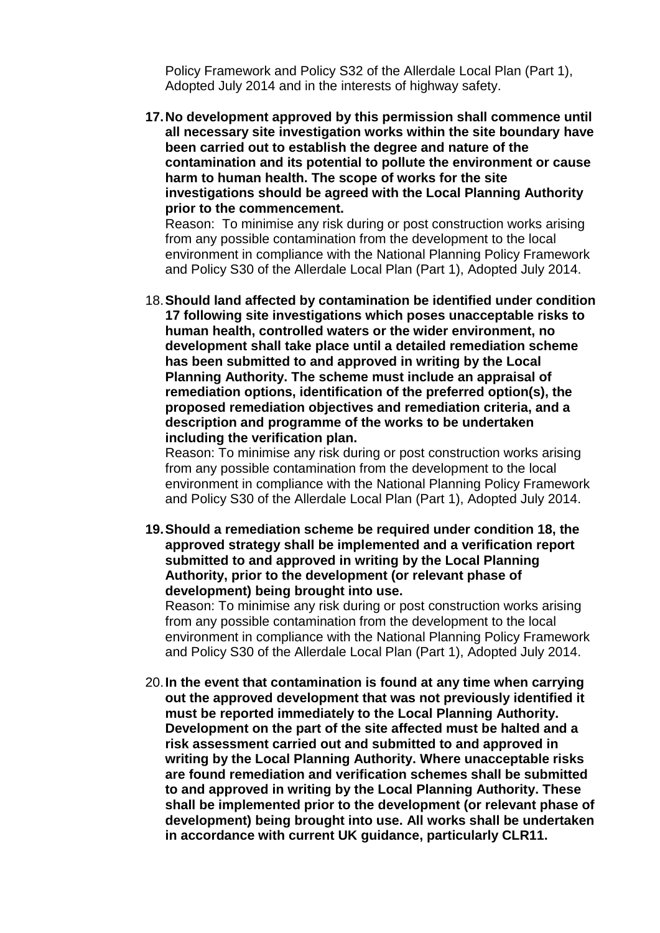Policy Framework and Policy S32 of the Allerdale Local Plan (Part 1), Adopted July 2014 and in the interests of highway safety.

**17.No development approved by this permission shall commence until all necessary site investigation works within the site boundary have been carried out to establish the degree and nature of the contamination and its potential to pollute the environment or cause harm to human health. The scope of works for the site investigations should be agreed with the Local Planning Authority prior to the commencement.**

Reason: To minimise any risk during or post construction works arising from any possible contamination from the development to the local environment in compliance with the National Planning Policy Framework and Policy S30 of the Allerdale Local Plan (Part 1), Adopted July 2014.

18.**Should land affected by contamination be identified under condition 17 following site investigations which poses unacceptable risks to human health, controlled waters or the wider environment, no development shall take place until a detailed remediation scheme has been submitted to and approved in writing by the Local Planning Authority. The scheme must include an appraisal of remediation options, identification of the preferred option(s), the proposed remediation objectives and remediation criteria, and a description and programme of the works to be undertaken including the verification plan.**

Reason: To minimise any risk during or post construction works arising from any possible contamination from the development to the local environment in compliance with the National Planning Policy Framework and Policy S30 of the Allerdale Local Plan (Part 1), Adopted July 2014.

**19.Should a remediation scheme be required under condition 18, the approved strategy shall be implemented and a verification report submitted to and approved in writing by the Local Planning Authority, prior to the development (or relevant phase of development) being brought into use.**

Reason: To minimise any risk during or post construction works arising from any possible contamination from the development to the local environment in compliance with the National Planning Policy Framework and Policy S30 of the Allerdale Local Plan (Part 1), Adopted July 2014.

20.**In the event that contamination is found at any time when carrying out the approved development that was not previously identified it must be reported immediately to the Local Planning Authority. Development on the part of the site affected must be halted and a risk assessment carried out and submitted to and approved in writing by the Local Planning Authority. Where unacceptable risks are found remediation and verification schemes shall be submitted to and approved in writing by the Local Planning Authority. These shall be implemented prior to the development (or relevant phase of development) being brought into use. All works shall be undertaken in accordance with current UK guidance, particularly CLR11.**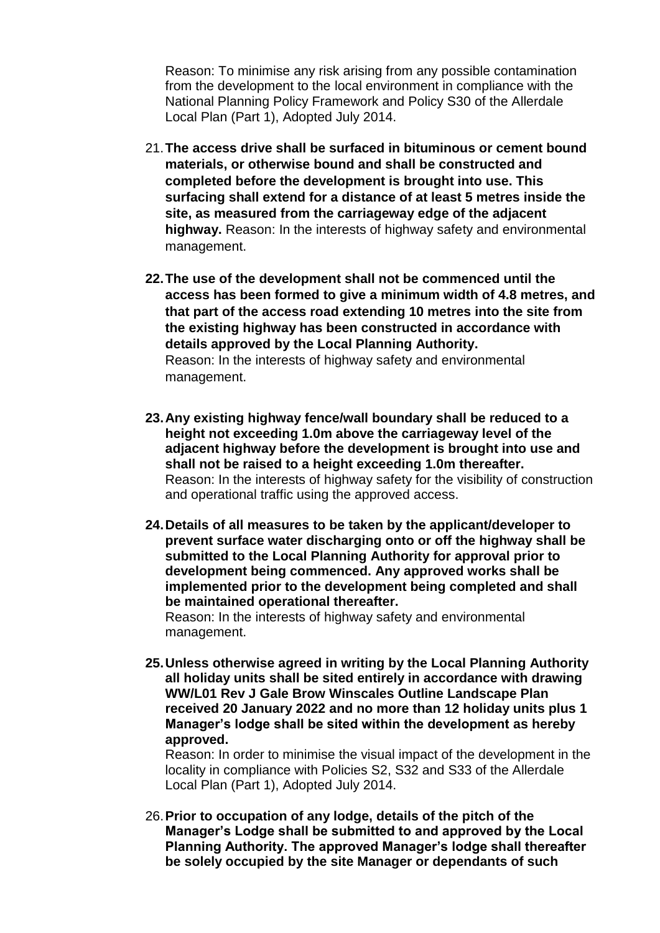Reason: To minimise any risk arising from any possible contamination from the development to the local environment in compliance with the National Planning Policy Framework and Policy S30 of the Allerdale Local Plan (Part 1), Adopted July 2014.

- 21.**The access drive shall be surfaced in bituminous or cement bound materials, or otherwise bound and shall be constructed and completed before the development is brought into use. This surfacing shall extend for a distance of at least 5 metres inside the site, as measured from the carriageway edge of the adjacent highway.** Reason: In the interests of highway safety and environmental management.
- **22.The use of the development shall not be commenced until the access has been formed to give a minimum width of 4.8 metres, and that part of the access road extending 10 metres into the site from the existing highway has been constructed in accordance with details approved by the Local Planning Authority.**  Reason: In the interests of highway safety and environmental management.
- **23.Any existing highway fence/wall boundary shall be reduced to a height not exceeding 1.0m above the carriageway level of the adjacent highway before the development is brought into use and shall not be raised to a height exceeding 1.0m thereafter.**  Reason: In the interests of highway safety for the visibility of construction and operational traffic using the approved access.
- **24.Details of all measures to be taken by the applicant/developer to prevent surface water discharging onto or off the highway shall be submitted to the Local Planning Authority for approval prior to development being commenced. Any approved works shall be implemented prior to the development being completed and shall be maintained operational thereafter.**

Reason: In the interests of highway safety and environmental management.

**25.Unless otherwise agreed in writing by the Local Planning Authority all holiday units shall be sited entirely in accordance with drawing WW/L01 Rev J Gale Brow Winscales Outline Landscape Plan received 20 January 2022 and no more than 12 holiday units plus 1 Manager's lodge shall be sited within the development as hereby approved.**

Reason: In order to minimise the visual impact of the development in the locality in compliance with Policies S2, S32 and S33 of the Allerdale Local Plan (Part 1), Adopted July 2014.

26.**Prior to occupation of any lodge, details of the pitch of the Manager's Lodge shall be submitted to and approved by the Local Planning Authority. The approved Manager's lodge shall thereafter be solely occupied by the site Manager or dependants of such**